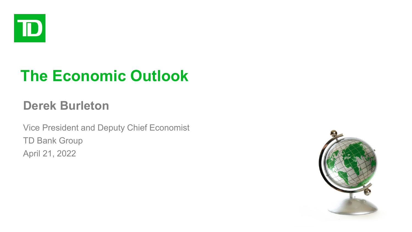

# **The Economic Outlook**

## **Derek Burleton**

Vice President and Deputy Chief Economist TD Bank Group April 21, 2022

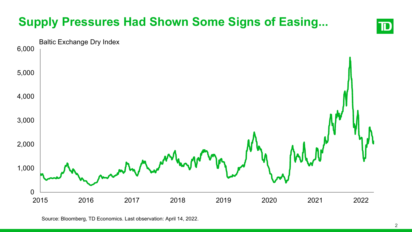# **Supply Pressures Had Shown Some Signs of Easing...**



```
Source: Bloomberg, TD Economics. Last observation: April 14, 2022.
```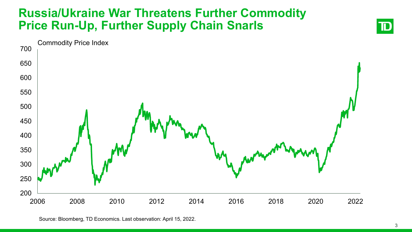#### **Russia/Ukraine War Threatens Further Commodity Price Run-Up, Further Supply Chain Snarls**



Source: Bloomberg, TD Economics. Last observation: April 15, 2022.

 $\mathbf T$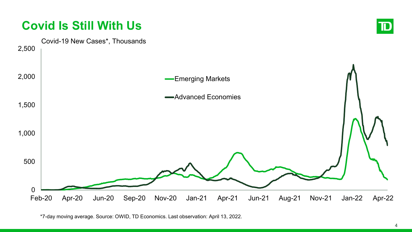

<sup>\*7-</sup>day moving average. Source: OWID, TD Economics. Last observation: April 13, 2022.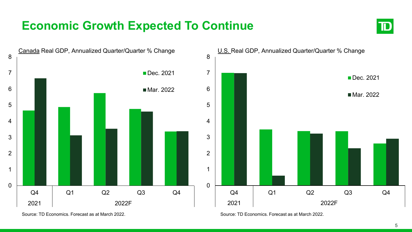## **Economic Growth Expected To Continue**





Source: TD Economics. Forecast as at March 2022.

Source: TD Economics. Forecast as at March 2022.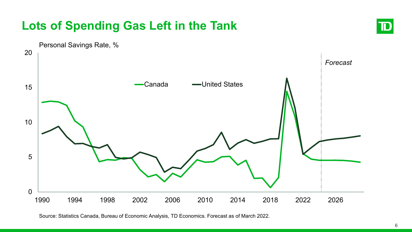## **Lots of Spending Gas Left in the Tank**





Source: Statistics Canada, Bureau of Economic Analysis, TD Economics. Forecast as of March 2022.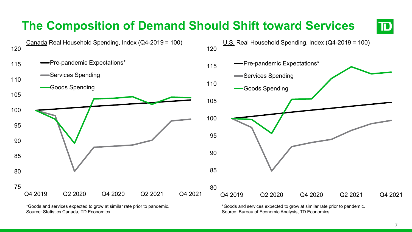

\*Goods and services expected to grow at similar rate prior to pandemic. Source: Statistics Canada, TD Economics.

\*Goods and services expected to grow at similar rate prior to pandemic. Source: Bureau of Economic Analysis, TD Economics.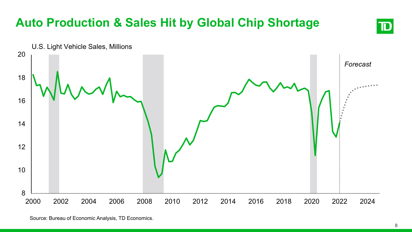

Source: Bureau of Economic Analysis, TD Economics.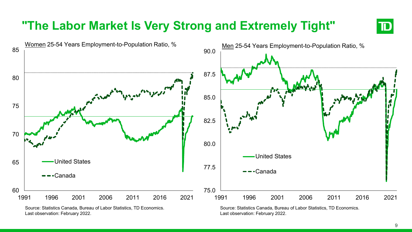## **"The Labor Market Is Very Strong and Extremely Tight"**



Last observation: February 2022.

Last observation: February 2022.

TD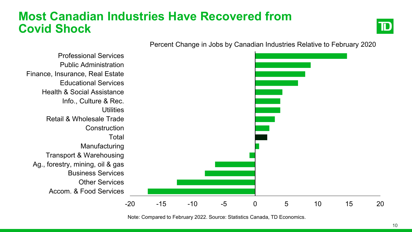### **Most Canadian Industries Have Recovered from Covid Shock**



-20 -15 -10 -5 0 5 10 15 20 Accom. & Food Services Other Services Business Services Ag., forestry, mining, oil & gas Transport & Warehousing Manufacturing **Total Construction** Retail & Wholesale Trade **Utilities** Info., Culture & Rec. Health & Social Assistance Educational Services Finance, Insurance, Real Estate Public Administration Professional Services

Percent Change in Jobs by Canadian Industries Relative to February 2020

Note: Compared to February 2022. Source: Statistics Canada, TD Economics.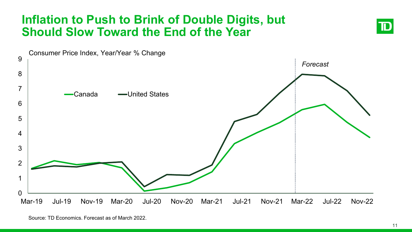#### **Inflation to Push to Brink of Double Digits, but Should Slow Toward the End of the Year**



Source: TD Economics. Forecast as of March 2022.

ID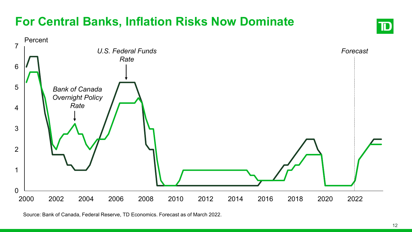## **For Central Banks, Inflation Risks Now Dominate**



Source: Bank of Canada, Federal Reserve, TD Economics. Forecast as of March 2022.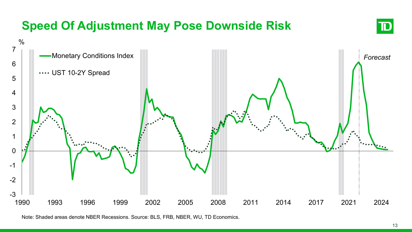# **Speed Of Adjustment May Pose Downside Risk**





Note: Shaded areas denote NBER Recessions. Source: BLS, FRB, NBER, WU, TD Economics.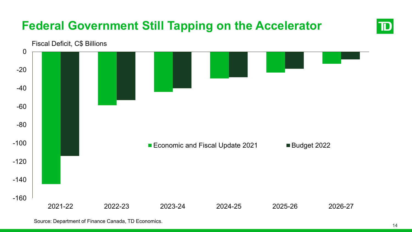# **Federal Government Still Tapping on the Accelerator**



Source: Department of Finance Canada, TD Economics.

TD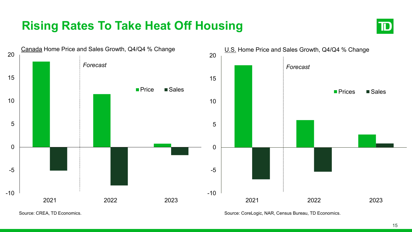## **Rising Rates To Take Heat Off Housing**





Source: CREA, TD Economics.

Source: CoreLogic, NAR, Census Bureau, TD Economics.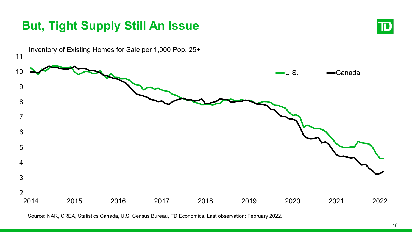## **But, Tight Supply Still An Issue**





Source: NAR, CREA, Statistics Canada, U.S. Census Bureau, TD Economics. Last observation: February 2022.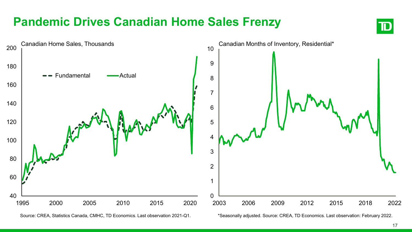## **Pandemic Drives Canadian Home Sales Frenzy**



ID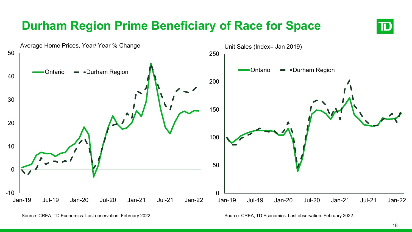# **Durham Region Prime Beneficiary of Race for Space**



Source: CREA, TD Economics. Last observation: February 2022.

Source: CREA, TD Economics. Last observation: February 2022.